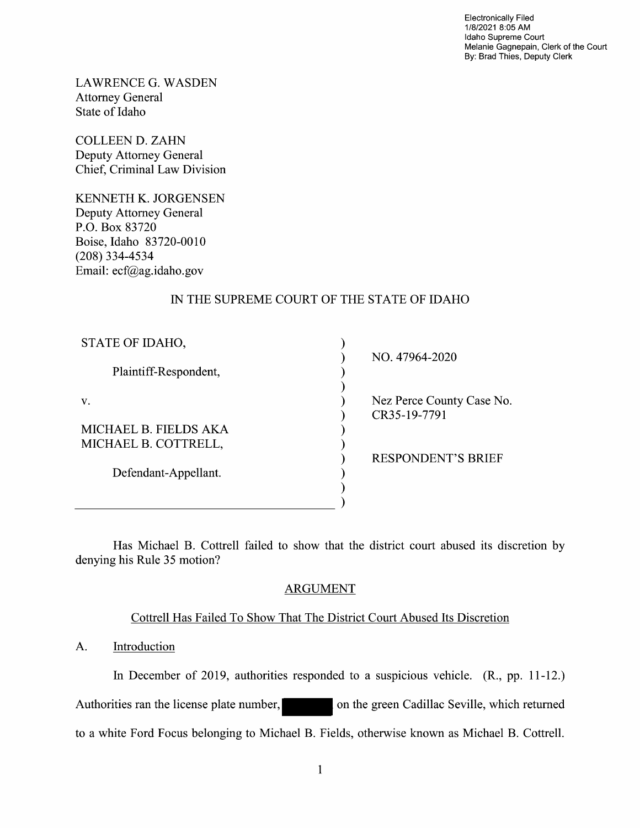Electronically Filed 1/8/2021 8:05 AM Idaho Supreme Court Melanie Gagnepain, Clerk of the Court By: Brad Thies, Deputy Clerk

LAWRENCE G.WASDEN Attorney General State of Idaho

COLLEEN D. ZAHN Deputy Attorney General Chief, Criminal Law Division

KENNETH K. JORGENSEN Deputy Attorney General P.O. BOX 83720 Boise, Idaho 83720-0010 (208) 334-4534 Email: ecf@ag.idah0.gov

## IN THE SUPREME COURT OF THE STATE OF IDAHO

| STATE OF IDAHO,       |                           |
|-----------------------|---------------------------|
|                       | NO. 47964-2020            |
| Plaintiff-Respondent, |                           |
|                       |                           |
| V.                    | Nez Perce County Case No. |
|                       | CR35-19-7791              |
| MICHAEL B. FIELDS AKA |                           |
| MICHAEL B. COTTRELL,  |                           |
|                       | <b>RESPONDENT'S BRIEF</b> |
| Defendant-Appellant.  |                           |
|                       |                           |
|                       |                           |

Has Michael B. Cottrell failed to show that the district court abused its discretion by denying his Rule 35 motion?

# ARGUMENT

### Cottrell Has Failed T0 Show That The District Court Abused Its Discretion

A. Introduction

In December of 2019, authorities responded to a suspicious vehicle. (R., pp. 11-12.)

Authorities ran the license plate number, 0.11 on the green Cadillac Seville, which returned

to a white Ford Focus belonging to Michael B. Fields, otherwise known as Michael B. Cottrell.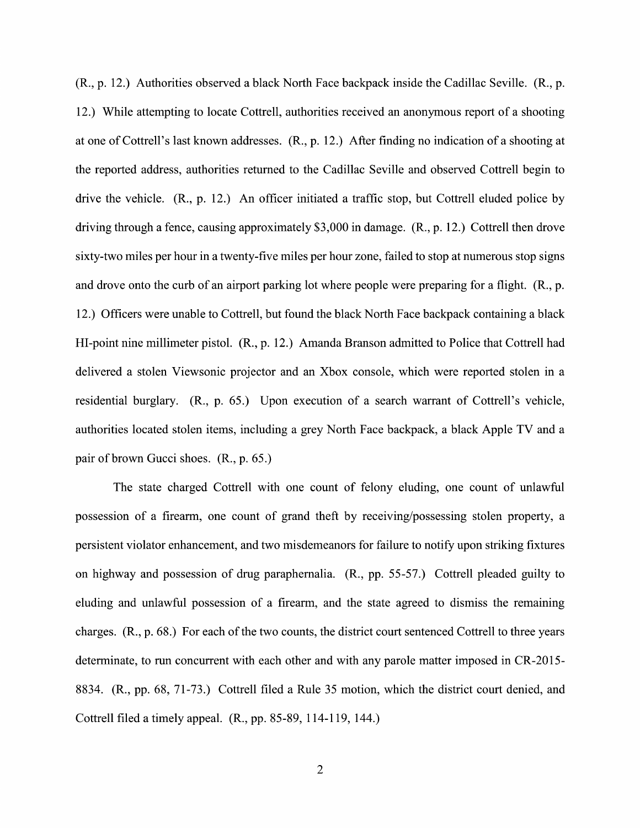$(R., p. 12.)$  Authorities observed a black North Face backpack inside the Cadillac Seville.  $(R., p. 12.)$ 12.) While attempting to locate Cottrell, authorities received an anonymous report of a shooting at one of Cottrell's last known addresses. (R., p. 12.) After finding no indication of a shooting at the reported address, authorities returned to the Cadillac Seville and observed Cottrell begin t0 drive the vehicle.  $(R_1, p_1, 12)$ . An officer initiated a traffic stop, but Cottrell eluded police by driving through a fence, causing approximately  $$3,000$  in damage. (R, p. 12.) Cottrell then drove sixty-two miles per hour in a twenty-five miles per hour zone, failed to stop at numerous stop signs and drove onto the curb of an airport parking lot where people were preparing for a flight.  $(R_1, p_2)$ . 12.) Officers were unable to Cottrell, but found the black North Face backpack containing a black HI-point nine millimeter pistol. (R., p. 12.) Amanda Branson admitted to Police that Cottrell had delivered a stolen Viewsonic projector and an Xbox console, which were reported stolen in a residential burglary.  $(R, p. 65)$  Upon execution of a search warrant of Cottrell's vehicle, authorities located stolen items, including a grey North Face backpack, a black Apple TV and a pair of brown Gucci shoes.  $(R., p. 65.)$ 

The state charged Cottrell with one count of felony eluding, one count of unlawful possession of a firearm, one count of grand theft by receiving/possessing stolen property, a persistent violator enhancement, and two misdemeanors for failure to notify upon striking fixtures 0n highway and possession 0f drug paraphernalia. (R., pp. 55-57.) Cottrell pleaded guilty to eluding and unlawful possession of a firearm, and the state agreed to dismiss the remaining charges. (R., p. 68.) For each of the two counts, the district court sentenced Cottrell to three years determinate, to run concurrent with each other and with any parole matter imposed in CR-2015-8834. (R., pp. 68, 71-73.) Cottrell filed a Rule 35 motion, which the district court denied, and Cottrell filed a timely appeal.  $(R., pp. 85-89, 114-119, 144.)$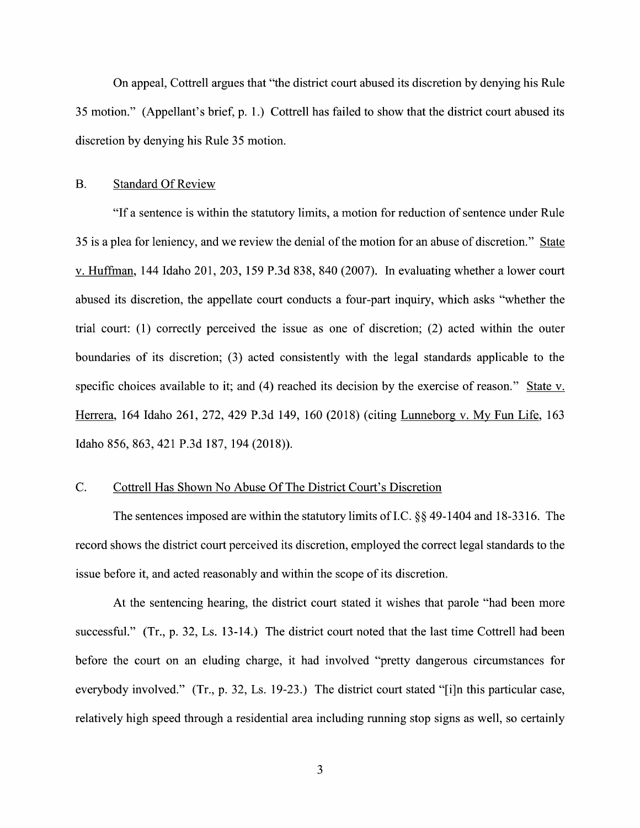On appeal, Cottrell argues that "the district court abused its discretion by denying his Rule 35 motion." (Appellant's brief, p. 1.) Cottrell has failed to show that the district court abused its discretion by denying his Rule 35 motion.

#### B. Standard Of Review

"If a sentence is within the statutory limits, a motion for reduction of sentence under Rule 35 is a plea for leniency, and we review the denial of the motion for an abuse of discretion." State  $v.$  Huffman, 144 Idaho 201, 203, 159 P.3d 838, 840 (2007). In evaluating whether a lower court abused its discretion, the appellate court conducts a four-part inquiry, which asks "whether the trial court: (1) correctly perceived the issue as one 0f discretion; (2) acted within the outer boundaries of its discretion; (3) acted consistently with the legal standards applicable to the specific choices available to it; and (4) reached its decision by the exercise of reason." State v. Herrera, <sup>164</sup> Idaho 261, 272, <sup>429</sup> P.3d 149, <sup>160</sup> (2018) (citing Lunneborg V. MV Fun Life, <sup>163</sup> Idaho 856, 863, <sup>421</sup> P.3d 187, <sup>194</sup> (2018)).

#### C. Cottrell Has Shown N0 Abuse Of The District Court's Discretion

The sentences imposed are within the statutory limits of I.C.  $\S$ § 49-1404 and 18-3316. The record shows the district court perceived its discretion, employed the correct legal standards to the issue before it, and acted reasonably and within the scope of its discretion.

At the sentencing hearing, the district court stated it wishes that parole "had been more successful." (Tr., p. 32, Ls. 13-14.) The district court noted that the last time Cottrell had been before the court 0n an eluding charge, it had involved "pretty dangerous circumstances for everybody involved." (Tr., p. 32, Ls. 19-23.) The district court stated "[i]n this particular case, relatively high speed through a residential area including running stop signs as well, so certainly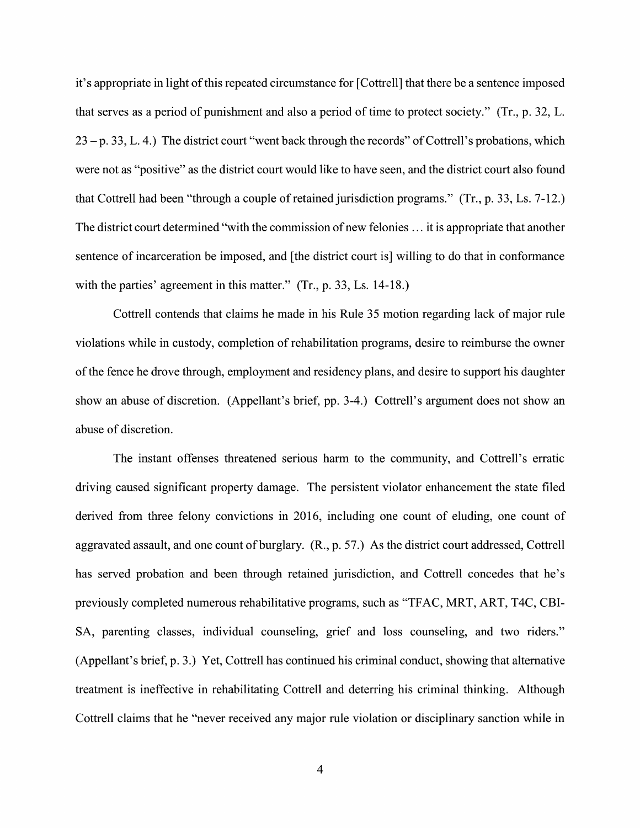it's appropriate in light of this repeated circumstance for [Cottrell] that there be a sentence imposed that serves as a period of punishment and also a period of time to protect society." (Tr., p. 32, L.  $23 - p. 33$ , L. 4.) The district court "went back through the records" of Cottrell's probations, which were not as "positive" as the district court would like to have seen, and the district court also found that Cottrell had been "through a couple of retained jurisdiction programs." (Tr., p. 33, Ls. 7-12.) The district court determined "with the commission of new felonies ... it is appropriate that another sentence of incarceration be imposed, and [the district court is] willing to do that in conformance with the parties' agreement in this matter."  $(Tr, p. 33, Ls. 14-18.)$ 

Cottrell contends that claims he made in his Rule 35 motion regarding lack of major rule Violations While in custody, completion of rehabilitation programs, desire t0 reimburse the owner of the fence he drove through, employment and residency plans, and desire to support his daughter show an abuse 0f discretion. (Appellant's brief, pp. 3-4.) Cottrell's argument does not show an abuse of discretion.

The instant offenses threatened serious harm to the community, and Cottrell's erratic driving caused significant property damage. The persistent violator enhancement the state filed derived from three felony convictions in 2016, including one count of eluding, one count of aggravated assault, and one count of burglary. (R., p. 57.) As the district court addressed, Cottrell has served probation and been through retained jurisdiction, and Cottrell concedes that he's previously completed numerous rehabilitative programs, such as "TFAC, MRT, ART, T4C, CBI-SA, parenting classes, individual counseling, grief and loss counseling, and two riders." (Appellant's brief, p. 3.) Yet, Cottrell has continued his criminal conduct, showing that alternative treatment is ineffective in rehabilitating Cottrell and deterring his criminal thinking. Although Cottrell claims that he "never received any major rule violation or disciplinary sanction while in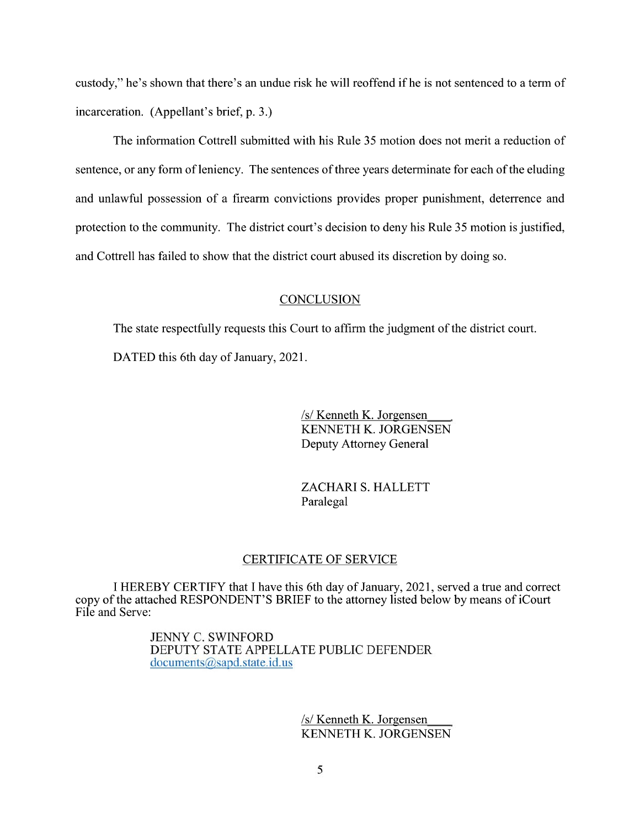custody," he's shown that there's an undue risk he will reoffend if he is not sentenced to a term of incarceration. (Appellant's brief, p. 3.)

The information Cottrell submitted with his Rule 35 motion does not merit a reduction of sentence, or any form of leniency. The sentences of three years determinate for each of the eluding and unlawful possession of a firearm convictions provides proper punishment, deterrence and protection to the community. The district court's decision to deny his Rule 35 motion is justified, and Cottrell has failed to show that the district court abused its discretion by doing so.

### **CONCLUSION**

The state respectfully requests this Court to affirm the judgment of the district court.

DATED this 6th day of January, 2021.

/s/ Kenneth K. Jorgensen KENNETH K. JORGENSEN Deputy Attorney General

ZACHARI S. HALLETT Paralegal

### CERTIFICATE OF SERVICE

HEREBY CERTIFY that I have this 6th day of January, 2021, served a true and correct copy of the attached RESPONDENT'S BRIEF to the attorney listed below by means of iCourt File and Serve:

> JENNY C. SWINFORD<br>DEPUTY STATE APPELLATE PUBLIC DEFENDER documents@sapd.state.id.us

> > /s/ Kenneth K. Jorgensen KENNETH K. JORGENSEN